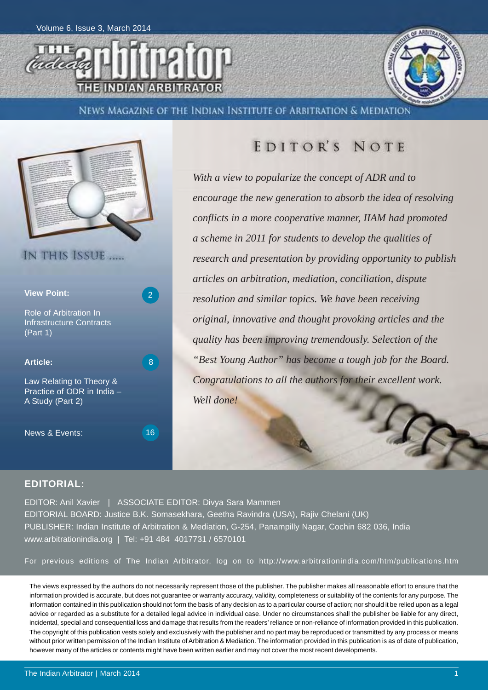



News Magazine of the Indian Institute of Arbitration & Mediation



### EDITOR'S NOTE

*With a view to popularize the concept of ADR and to encourage the new generation to absorb the idea of resolving conflicts in a more cooperative manner, IIAM had promoted a scheme in 2011 for students to develop the qualities of research and presentation by providing opportunity to publish articles on arbitration, mediation, conciliation, dispute resolution and similar topics. We have been receiving original, innovative and thought provoking articles and the quality has been improving tremendously. Selection of the "Best Young Author" has become a tough job for the Board. Congratulations to all the authors for their excellent work. Well done!*

#### **EDITORIAL:**

EDITOR: Anil Xavier | ASSOCIATE EDITOR: Divya Sara Mammen EDITORIAL BOARD: Justice B.K. Somasekhara, Geetha Ravindra (USA), Rajiv Chelani (UK) PUBLISHER: Indian Institute of Arbitration & Mediation, G-254, Panampilly Nagar, Cochin 682 036, India www.arbitrationindia.org | Tel: +91 484 4017731 / 6570101

For previous editions of The Indian Arbitrator, log on to http://www.arbitrationindia.com/htm/publications.htm

The views expressed by the authors do not necessarily represent those of the publisher. The publisher makes all reasonable effort to ensure that the information provided is accurate, but does not guarantee or warranty accuracy, validity, completeness or suitability of the contents for any purpose. The information contained in this publication should not form the basis of any decision as to a particular course of action; nor should it be relied upon as a legal advice or regarded as a substitute for a detailed legal advice in individual case. Under no circumstances shall the publisher be liable for any direct, incidental, special and consequential loss and damage that results from the readers' reliance or non-reliance of information provided in this publication. The copyright of this publication vests solely and exclusively with the publisher and no part may be reproduced or transmitted by any process or means without prior written permission of the Indian Institute of Arbitration & Mediation. The information provided in this publication is as of date of publication, however many of the articles or contents might have been written earlier and may not cover the most recent developments.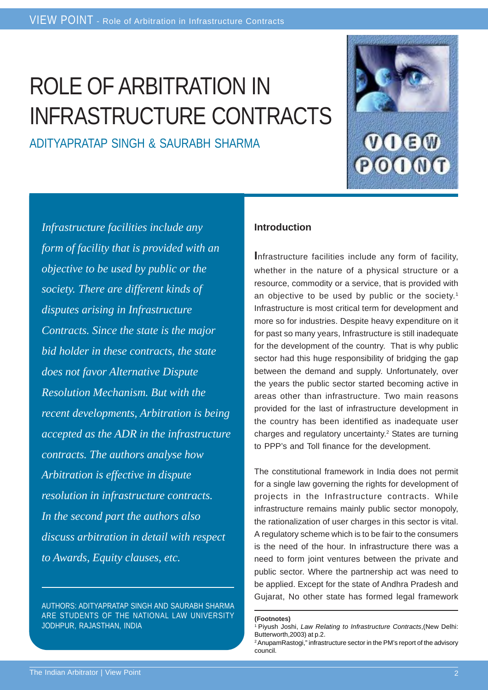# ROLE OF ARBITRATION IN INFRASTRUCTURE CONTRACTS

ADITYAPRATAP SINGH & SAURABH SHARMA



*Infrastructure facilities include any form of facility that is provided with an objective to be used by public or the society. There are different kinds of disputes arising in Infrastructure Contracts. Since the state is the major bid holder in these contracts, the state does not favor Alternative Dispute Resolution Mechanism. But with the recent developments, Arbitration is being accepted as the ADR in the infrastructure contracts. The authors analyse how Arbitration is effective in dispute resolution in infrastructure contracts. In the second part the authors also discuss arbitration in detail with respect to Awards, Equity clauses, etc.*

AUTHORS: ADITYAPRATAP SINGH AND SAURABH SHARMA ARE STUDENTS OF THE NATIONAL LAW UNIVERSITY JODHPUR, RAJASTHAN, INDIA

#### **Introduction**

**I**nfrastructure facilities include any form of facility, whether in the nature of a physical structure or a resource, commodity or a service, that is provided with an objective to be used by public or the society.<sup>1</sup> Infrastructure is most critical term for development and more so for industries. Despite heavy expenditure on it for past so many years, Infrastructure is still inadequate for the development of the country. That is why public sector had this huge responsibility of bridging the gap between the demand and supply. Unfortunately, over the years the public sector started becoming active in areas other than infrastructure. Two main reasons provided for the last of infrastructure development in the country has been identified as inadequate user charges and regulatory uncertainty.2 States are turning to PPP's and Toll finance for the development.

The constitutional framework in India does not permit for a single law governing the rights for development of projects in the Infrastructure contracts. While infrastructure remains mainly public sector monopoly, the rationalization of user charges in this sector is vital. A regulatory scheme which is to be fair to the consumers is the need of the hour. In infrastructure there was a need to form joint ventures between the private and public sector. Where the partnership act was need to be applied. Except for the state of Andhra Pradesh and Gujarat, No other state has formed legal framework

**<sup>(</sup>Footnotes)**

<sup>1</sup> Piyush Joshi, *Law Relating to Infrastructure Contracts*,(New Delhi: Butterworth,2003) at p.2.

<sup>&</sup>lt;sup>2</sup> AnupamRastogi," infrastructure sector in the PM's report of the advisory council.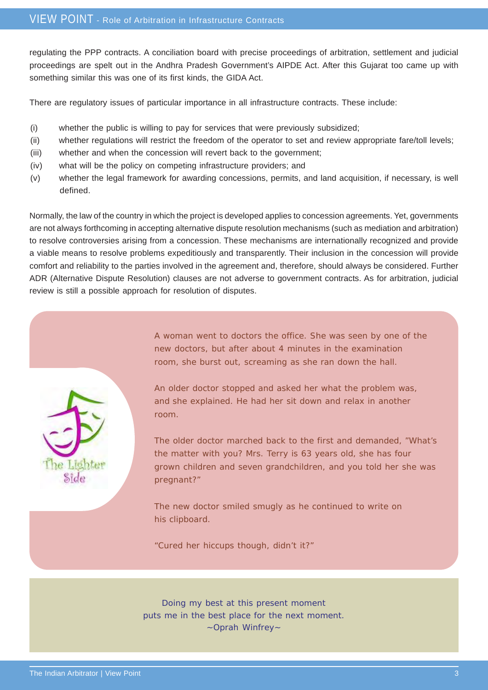regulating the PPP contracts. A conciliation board with precise proceedings of arbitration, settlement and judicial proceedings are spelt out in the Andhra Pradesh Government's AIPDE Act. After this Gujarat too came up with something similar this was one of its first kinds, the GIDA Act.

There are regulatory issues of particular importance in all infrastructure contracts. These include:

- (i) whether the public is willing to pay for services that were previously subsidized;
- (ii) whether regulations will restrict the freedom of the operator to set and review appropriate fare/toll levels;
- (iii) whether and when the concession will revert back to the government;
- (iv) what will be the policy on competing infrastructure providers; and
- (v) whether the legal framework for awarding concessions, permits, and land acquisition, if necessary, is well defined.

Normally, the law of the country in which the project is developed applies to concession agreements. Yet, governments are not always forthcoming in accepting alternative dispute resolution mechanisms (such as mediation and arbitration) to resolve controversies arising from a concession. These mechanisms are internationally recognized and provide a viable means to resolve problems expeditiously and transparently. Their inclusion in the concession will provide comfort and reliability to the parties involved in the agreement and, therefore, should always be considered. Further ADR (Alternative Dispute Resolution) clauses are not adverse to government contracts. As for arbitration, judicial review is still a possible approach for resolution of disputes.

A woman went to doctors the office. She was seen by one of the new doctors, but after about 4 minutes in the examination room, she burst out, screaming as she ran down the hall.

An older doctor stopped and asked her what the problem was, and she explained. He had her sit down and relax in another room.

The older doctor marched back to the first and demanded, "What's the matter with you? Mrs. Terry is 63 years old, she has four grown children and seven grandchildren, and you told her she was pregnant?"

The new doctor smiled smugly as he continued to write on his clipboard.

"Cured her hiccups though, didn't it?"

Doing my best at this present moment puts me in the best place for the next moment. ~Oprah Winfrey~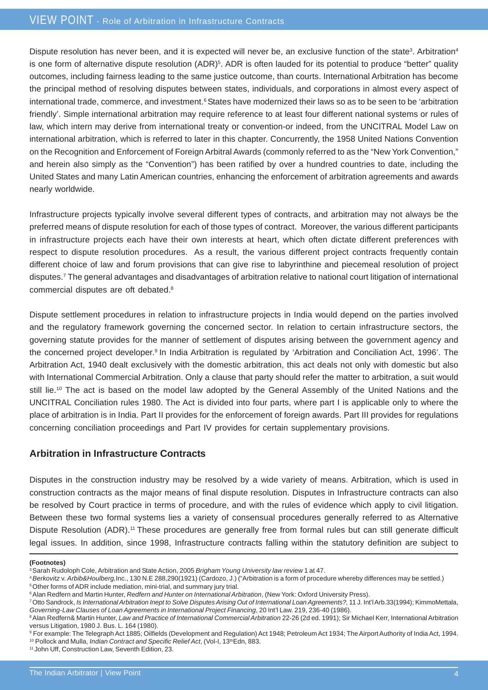#### VIEW POINT - Role of Arbitration in Infrastructure Contracts

Dispute resolution has never been, and it is expected will never be, an exclusive function of the state<sup>3</sup>. Arbitration<sup>4</sup> is one form of alternative dispute resolution (ADR)<sup>5</sup>. ADR is often lauded for its potential to produce "better" quality outcomes, including fairness leading to the same justice outcome, than courts. International Arbitration has become the principal method of resolving disputes between states, individuals, and corporations in almost every aspect of international trade, commerce, and investment.<sup>6</sup> States have modernized their laws so as to be seen to be 'arbitration friendly'. Simple international arbitration may require reference to at least four different national systems or rules of law, which intern may derive from international treaty or convention-or indeed, from the UNCITRAL Model Law on international arbitration, which is referred to later in this chapter. Concurrently, the 1958 United Nations Convention on the Recognition and Enforcement of Foreign Arbitral Awards (commonly referred to as the "New York Convention," and herein also simply as the "Convention") has been ratified by over a hundred countries to date, including the United States and many Latin American countries, enhancing the enforcement of arbitration agreements and awards nearly worldwide.

Infrastructure projects typically involve several different types of contracts, and arbitration may not always be the preferred means of dispute resolution for each of those types of contract. Moreover, the various different participants in infrastructure projects each have their own interests at heart, which often dictate different preferences with respect to dispute resolution procedures. As a result, the various different project contracts frequently contain different choice of law and forum provisions that can give rise to labyrinthine and piecemeal resolution of project disputes.7 The general advantages and disadvantages of arbitration relative to national court litigation of international commercial disputes are oft debated.8

Dispute settlement procedures in relation to infrastructure projects in India would depend on the parties involved and the regulatory framework governing the concerned sector. In relation to certain infrastructure sectors, the governing statute provides for the manner of settlement of disputes arising between the government agency and the concerned project developer.<sup>9</sup> In India Arbitration is regulated by 'Arbitration and Conciliation Act, 1996'. The Arbitration Act, 1940 dealt exclusively with the domestic arbitration, this act deals not only with domestic but also with International Commercial Arbitration. Only a clause that party should refer the matter to arbitration, a suit would still lie.<sup>10</sup> The act is based on the model law adopted by the General Assembly of the United Nations and the UNCITRAL Conciliation rules 1980. The Act is divided into four parts, where part I is applicable only to where the place of arbitration is in India. Part II provides for the enforcement of foreign awards. Part III provides for regulations concerning conciliation proceedings and Part IV provides for certain supplementary provisions.

#### **Arbitration in Infrastructure Contracts**

Disputes in the construction industry may be resolved by a wide variety of means. Arbitration, which is used in construction contracts as the major means of final dispute resolution. Disputes in Infrastructure contracts can also be resolved by Court practice in terms of procedure, and with the rules of evidence which apply to civil litigation. Between these two formal systems lies a variety of consensual procedures generally referred to as Alternative Dispute Resolution (ADR).<sup>11</sup> These procedures are generally free from formal rules but can still generate difficult legal issues. In addition, since 1998, Infrastructure contracts falling within the statutory definition are subject to

#### **(Footnotes)**

<sup>3</sup> Sarah Rudoloph Cole, Arbitration and State Action, 2005 *Brigham Young University law review* 1 at 47.

<sup>4</sup>*Berkovitz* v. *Arbib&Houlberg,*Inc., 130 N.E 288,290(1921) (Cardozo, J.) ("Arbitration is a form of procedure whereby differences may be settled.) 5 Other forms of ADR include mediation, mini-trial, and summary jury trial.

<sup>6</sup> Alan Redfern and Martin Hunter, *Redfern and Hunter on International Arbitration*, (New York: Oxford University Press).

<sup>7</sup> Otto Sandrock, *Is International Arbitration Inept to Solve Disputes Arising Out of International Loan Agreements?,* 11 J. Int'l Arb.33(1994); KimmoMettala, *Governing-Law Clauses of Loan Agreements in International Project Financing*, 20 Int'l Law. 219, 236-40 (1986).

<sup>8</sup> Alan Redfern& Martin Hunter, *Law and Practice of International Commercial Arbitration* 22-26 (2d ed. 1991); Sir Michael Kerr, International Arbitration versus Litigation, 1980 J. Bus. L. 164 (1980).

<sup>9</sup> For example: The Telegraph Act 1885; Oilfields (Development and Regulation) Act 1948; Petroleum Act 1934; The Airport Authority of India Act, 1994. <sup>10</sup> Pollock and Mulla, *Indian Contract and Specific Relief Act*, (Vol-I, 13<sup>th</sup>Edn, 883.

<sup>11</sup> John Uff, Construction Law, Seventh Edition, 23.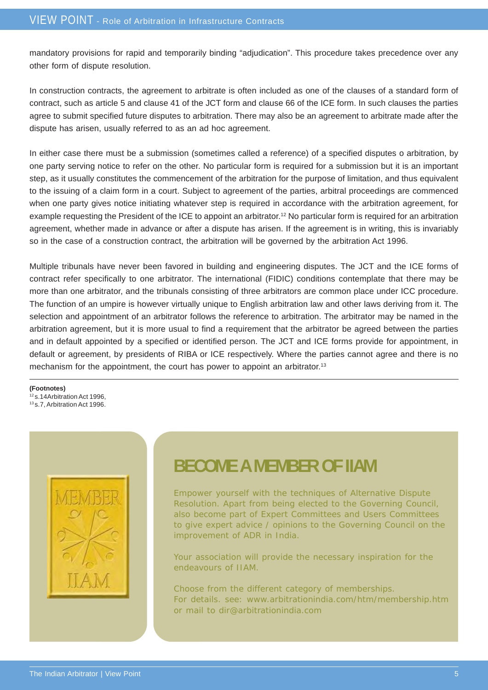mandatory provisions for rapid and temporarily binding "adjudication". This procedure takes precedence over any other form of dispute resolution.

In construction contracts, the agreement to arbitrate is often included as one of the clauses of a standard form of contract, such as article 5 and clause 41 of the JCT form and clause 66 of the ICE form. In such clauses the parties agree to submit specified future disputes to arbitration. There may also be an agreement to arbitrate made after the dispute has arisen, usually referred to as an ad hoc agreement.

In either case there must be a submission (sometimes called a reference) of a specified disputes o arbitration, by one party serving notice to refer on the other. No particular form is required for a submission but it is an important step, as it usually constitutes the commencement of the arbitration for the purpose of limitation, and thus equivalent to the issuing of a claim form in a court. Subject to agreement of the parties, arbitral proceedings are commenced when one party gives notice initiating whatever step is required in accordance with the arbitration agreement, for example requesting the President of the ICE to appoint an arbitrator.<sup>12</sup> No particular form is required for an arbitration agreement, whether made in advance or after a dispute has arisen. If the agreement is in writing, this is invariably so in the case of a construction contract, the arbitration will be governed by the arbitration Act 1996.

Multiple tribunals have never been favored in building and engineering disputes. The JCT and the ICE forms of contract refer specifically to one arbitrator. The international (FIDIC) conditions contemplate that there may be more than one arbitrator, and the tribunals consisting of three arbitrators are common place under ICC procedure. The function of an umpire is however virtually unique to English arbitration law and other laws deriving from it. The selection and appointment of an arbitrator follows the reference to arbitration. The arbitrator may be named in the arbitration agreement, but it is more usual to find a requirement that the arbitrator be agreed between the parties and in default appointed by a specified or identified person. The JCT and ICE forms provide for appointment, in default or agreement, by presidents of RIBA or ICE respectively. Where the parties cannot agree and there is no mechanism for the appointment, the court has power to appoint an arbitrator.<sup>13</sup>

**(Footnotes)** 12 s.14Arbitration Act 1996,

13 s.7, Arbitration Act 1996.



### **BECOME A MEMBER OF IIAM**

Empower yourself with the techniques of Alternative Dispute Resolution. Apart from being elected to the Governing Council, also become part of Expert Committees and Users Committees to give expert advice / opinions to the Governing Council on the improvement of ADR in India.

Your association will provide the necessary inspiration for the endeavours of IIAM.

Choose from the different category of memberships. For details. see: www.arbitrationindia.com/htm/membership.htm or mail to dir@arbitrationindia.com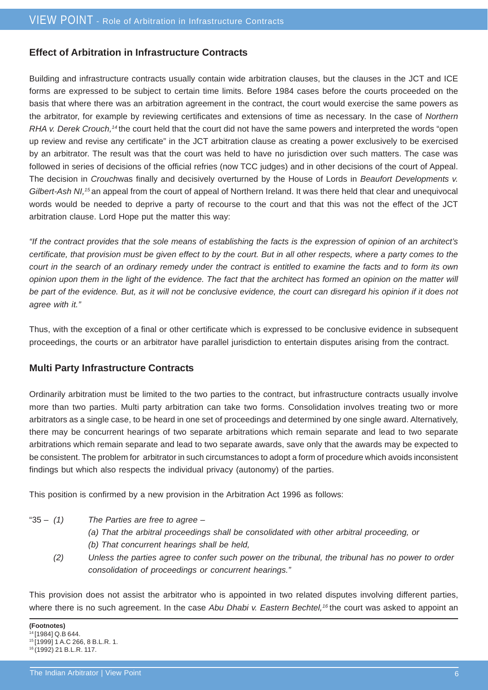#### **Effect of Arbitration in Infrastructure Contracts**

Building and infrastructure contracts usually contain wide arbitration clauses, but the clauses in the JCT and ICE forms are expressed to be subject to certain time limits. Before 1984 cases before the courts proceeded on the basis that where there was an arbitration agreement in the contract, the court would exercise the same powers as the arbitrator, for example by reviewing certificates and extensions of time as necessary. In the case of *Northern RHA v. Derek Crouch,14* the court held that the court did not have the same powers and interpreted the words "open up review and revise any certificate" in the JCT arbitration clause as creating a power exclusively to be exercised by an arbitrator. The result was that the court was held to have no jurisdiction over such matters. The case was followed in series of decisions of the official refries (now TCC judges) and in other decisions of the court of Appeal. The decision in *Crouch*was finally and decisively overturned by the House of Lords in *Beaufort Developments v. Gilbert-Ash NI,15* an appeal from the court of appeal of Northern Ireland. It was there held that clear and unequivocal words would be needed to deprive a party of recourse to the court and that this was not the effect of the JCT arbitration clause. Lord Hope put the matter this way:

*"If the contract provides that the sole means of establishing the facts is the expression of opinion of an architect's certificate, that provision must be given effect to by the court. But in all other respects, where a party comes to the court in the search of an ordinary remedy under the contract is entitled to examine the facts and to form its own opinion upon them in the light of the evidence. The fact that the architect has formed an opinion on the matter will be part of the evidence. But, as it will not be conclusive evidence, the court can disregard his opinion if it does not agree with it."*

Thus, with the exception of a final or other certificate which is expressed to be conclusive evidence in subsequent proceedings, the courts or an arbitrator have parallel jurisdiction to entertain disputes arising from the contract.

#### **Multi Party Infrastructure Contracts**

Ordinarily arbitration must be limited to the two parties to the contract, but infrastructure contracts usually involve more than two parties. Multi party arbitration can take two forms. Consolidation involves treating two or more arbitrators as a single case, to be heard in one set of proceedings and determined by one single award. Alternatively, there may be concurrent hearings of two separate arbitrations which remain separate and lead to two separate arbitrations which remain separate and lead to two separate awards, save only that the awards may be expected to be consistent. The problem for arbitrator in such circumstances to adopt a form of procedure which avoids inconsistent findings but which also respects the individual privacy (autonomy) of the parties.

This position is confirmed by a new provision in the Arbitration Act 1996 as follows:

- 
- "35 – *(1) The Parties are free to agree –*
	- *(a) That the arbitral proceedings shall be consolidated with other arbitral proceeding, or*
	- *(b) That concurrent hearings shall be held,*
	- *(2) Unless the parties agree to confer such power on the tribunal, the tribunal has no power to order consolidation of proceedings or concurrent hearings."*

This provision does not assist the arbitrator who is appointed in two related disputes involving different parties, where there is no such agreement. In the case *Abu Dhabi v. Eastern Bechtel*,<sup>16</sup> the court was asked to appoint an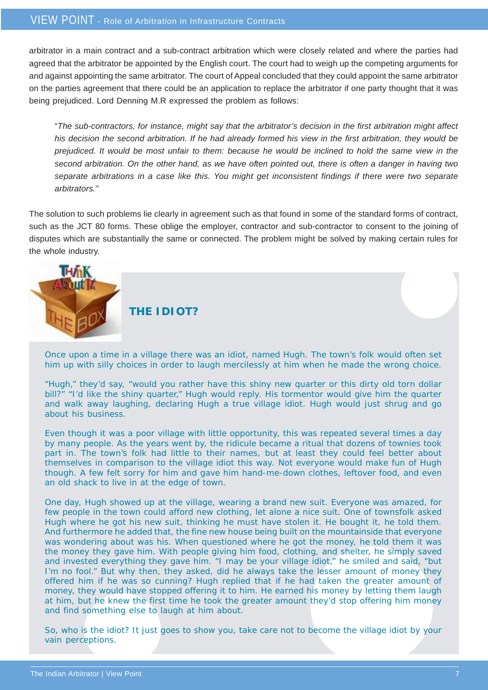arbitrator in a main contract and a sub-contract arbitration which were closely related and where the parties had agreed that the arbitrator be appointed by the English court. The court had to weigh up the competing arguments for and against appointing the same arbitrator. The court of Appeal concluded that they could appoint the same arbitrator on the parties agreement that there could be an application to replace the arbitrator if one party thought that it was being prejudiced. Lord Denning M.R expressed the problem as follows:

"*The sub-contractors, for instance, might say that the arbitrator's decision in the first arbitration might affect his decision the second arbitration. If he had already formed his view in the first arbitration, they would be prejudiced. It would be most unfair to them: because he would be inclined to hold the same view in the second arbitration. On the other hand, as we have often pointed out, there is often a danger in having two separate arbitrations in a case like this. You might get inconsistent findings if there were two separate arbitrators."*

The solution to such problems lie clearly in agreement such as that found in some of the standard forms of contract, such as the JCT 80 forms. These oblige the employer, contractor and sub-contractor to consent to the joining of disputes which are substantially the same or connected. The problem might be solved by making certain rules for the whole industry.



Once upon a time in a village there was an idiot, named Hugh. The town's folk would often set him up with silly choices in order to laugh mercilessly at him when he made the wrong choice.

"Hugh," they'd say, "would you rather have this shiny new quarter or this dirty old torn dollar bill?" "I'd like the shiny quarter," Hugh would reply. His tormentor would give him the quarter and walk away laughing, declaring Hugh a true village idiot. Hugh would just shrug and go about his business.

Even though it was a poor village with little opportunity, this was repeated several times a day by many people. As the years went by, the ridicule became a ritual that dozens of townies took part in. The town's folk had little to their names, but at least they could feel better about themselves in comparison to the village idiot this way. Not everyone would make fun of Hugh though. A few felt sorry for him and gave him hand-me-down clothes, leftover food, and even an old shack to live in at the edge of town.

One day, Hugh showed up at the village, wearing a brand new suit. Everyone was amazed, for few people in the town could afford new clothing, let alone a nice suit. One of townsfolk asked Hugh where he got his new suit, thinking he must have stolen it. He bought it, he told them. And furthermore he added that, the fine new house being built on the mountainside that everyone was wondering about was his. When questioned where he got the money, he told them it was the money they gave him. With people giving him food, clothing, and shelter, he simply saved and invested everything they gave him. "I may be your village idiot," he smiled and said, "but I'm no fool." But why then, they asked, did he always take the lesser amount of money they offered him if he was so cunning? Hugh replied that if he had taken the greater amount of money, they would have stopped offering it to him. He earned his money by letting them laugh at him, but he knew the first time he took the greater amount they'd stop offering him money and find something else to laugh at him about.

So, who is the idiot? It just goes to show you, take care not to become the village idiot by your vain perceptions.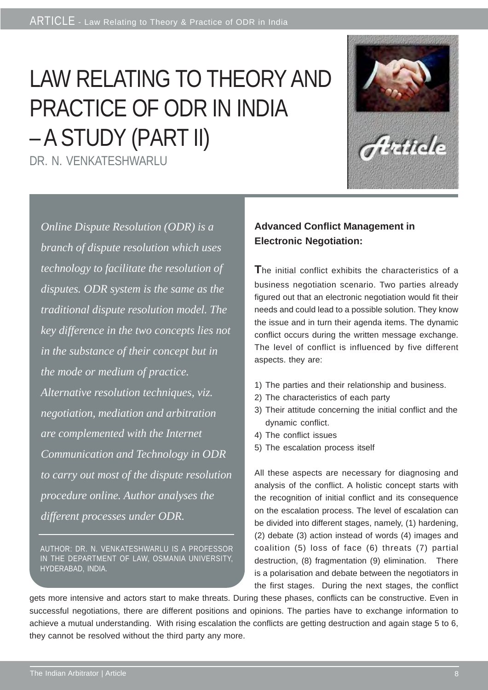# LAW RELATING TO THEORY AND PRACTICE OF ODR IN INDIA – A STUDY (PART II)

DR. N. VENKATESHWARLU



*Online Dispute Resolution (ODR) is a branch of dispute resolution which uses technology to facilitate the resolution of disputes. ODR system is the same as the traditional dispute resolution model. The key difference in the two concepts lies not in the substance of their concept but in the mode or medium of practice. Alternative resolution techniques, viz. negotiation, mediation and arbitration are complemented with the Internet Communication and Technology in ODR to carry out most of the dispute resolution procedure online. Author analyses the different processes under ODR.*

AUTHOR: DR. N. VENKATESHWARLU IS A PROFESSOR IN THE DEPARTMENT OF LAW, OSMANIA UNIVERSITY, HYDERABAD, INDIA.

#### **Advanced Conflict Management in Electronic Negotiation:**

**T**he initial conflict exhibits the characteristics of a business negotiation scenario. Two parties already figured out that an electronic negotiation would fit their needs and could lead to a possible solution. They know the issue and in turn their agenda items. The dynamic conflict occurs during the written message exchange. The level of conflict is influenced by five different aspects. they are:

- 1) The parties and their relationship and business.
- 2) The characteristics of each party
- 3) Their attitude concerning the initial conflict and the dynamic conflict.
- 4) The conflict issues
- 5) The escalation process itself

All these aspects are necessary for diagnosing and analysis of the conflict. A holistic concept starts with the recognition of initial conflict and its consequence on the escalation process. The level of escalation can be divided into different stages, namely, (1) hardening, (2) debate (3) action instead of words (4) images and coalition (5) loss of face (6) threats (7) partial destruction, (8) fragmentation (9) elimination. There is a polarisation and debate between the negotiators in the first stages. During the next stages, the conflict

gets more intensive and actors start to make threats. During these phases, conflicts can be constructive. Even in successful negotiations, there are different positions and opinions. The parties have to exchange information to achieve a mutual understanding. With rising escalation the conflicts are getting destruction and again stage 5 to 6, they cannot be resolved without the third party any more.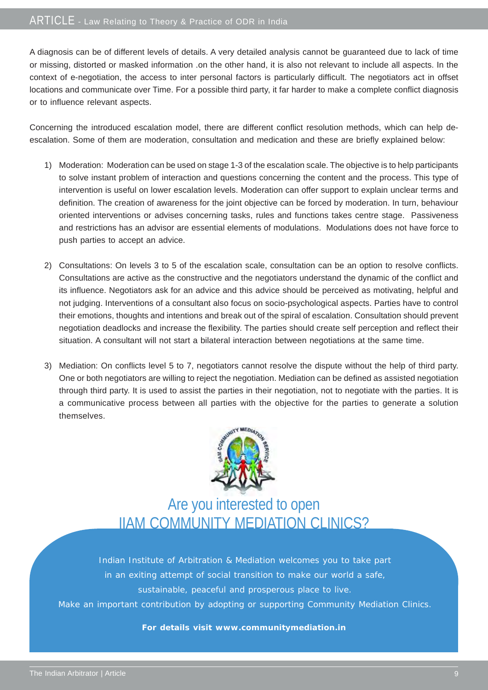A diagnosis can be of different levels of details. A very detailed analysis cannot be guaranteed due to lack of time or missing, distorted or masked information .on the other hand, it is also not relevant to include all aspects. In the context of e-negotiation, the access to inter personal factors is particularly difficult. The negotiators act in offset locations and communicate over Time. For a possible third party, it far harder to make a complete conflict diagnosis or to influence relevant aspects.

Concerning the introduced escalation model, there are different conflict resolution methods, which can help deescalation. Some of them are moderation, consultation and medication and these are briefly explained below:

- 1) Moderation: Moderation can be used on stage 1-3 of the escalation scale. The objective is to help participants to solve instant problem of interaction and questions concerning the content and the process. This type of intervention is useful on lower escalation levels. Moderation can offer support to explain unclear terms and definition. The creation of awareness for the joint objective can be forced by moderation. In turn, behaviour oriented interventions or advises concerning tasks, rules and functions takes centre stage. Passiveness and restrictions has an advisor are essential elements of modulations. Modulations does not have force to push parties to accept an advice.
- 2) Consultations: On levels 3 to 5 of the escalation scale, consultation can be an option to resolve conflicts. Consultations are active as the constructive and the negotiators understand the dynamic of the conflict and its influence. Negotiators ask for an advice and this advice should be perceived as motivating, helpful and not judging. Interventions of a consultant also focus on socio-psychological aspects. Parties have to control their emotions, thoughts and intentions and break out of the spiral of escalation. Consultation should prevent negotiation deadlocks and increase the flexibility. The parties should create self perception and reflect their situation. A consultant will not start a bilateral interaction between negotiations at the same time.
- 3) Mediation: On conflicts level 5 to 7, negotiators cannot resolve the dispute without the help of third party. One or both negotiators are willing to reject the negotiation. Mediation can be defined as assisted negotiation through third party. It is used to assist the parties in their negotiation, not to negotiate with the parties. It is a communicative process between all parties with the objective for the parties to generate a solution themselves.



Are you interested to open IIAM COMMUNITY MEDIATION CLINICS?

Indian Institute of Arbitration & Mediation welcomes you to take part in an exiting attempt of social transition to make our world a safe, sustainable, peaceful and prosperous place to live. Make an important contribution by adopting or supporting Community Mediation Clinics.

**For details visit www.communitymediation.in**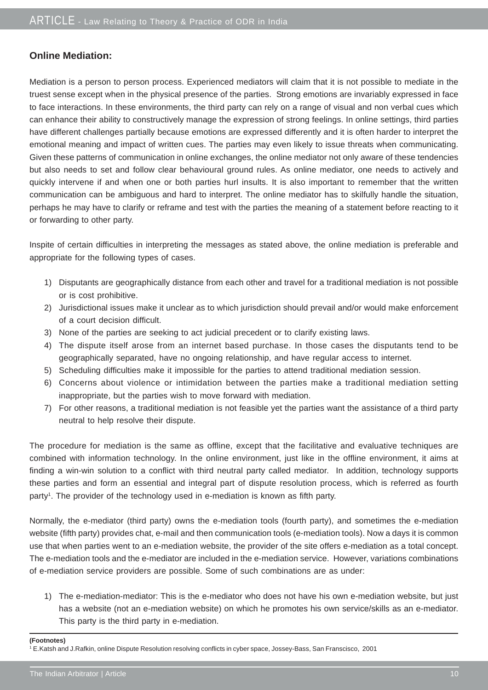#### **Online Mediation:**

Mediation is a person to person process. Experienced mediators will claim that it is not possible to mediate in the truest sense except when in the physical presence of the parties. Strong emotions are invariably expressed in face to face interactions. In these environments, the third party can rely on a range of visual and non verbal cues which can enhance their ability to constructively manage the expression of strong feelings. In online settings, third parties have different challenges partially because emotions are expressed differently and it is often harder to interpret the emotional meaning and impact of written cues. The parties may even likely to issue threats when communicating. Given these patterns of communication in online exchanges, the online mediator not only aware of these tendencies but also needs to set and follow clear behavioural ground rules. As online mediator, one needs to actively and quickly intervene if and when one or both parties hurl insults. It is also important to remember that the written communication can be ambiguous and hard to interpret. The online mediator has to skilfully handle the situation, perhaps he may have to clarify or reframe and test with the parties the meaning of a statement before reacting to it or forwarding to other party.

Inspite of certain difficulties in interpreting the messages as stated above, the online mediation is preferable and appropriate for the following types of cases.

- 1) Disputants are geographically distance from each other and travel for a traditional mediation is not possible or is cost prohibitive.
- 2) Jurisdictional issues make it unclear as to which jurisdiction should prevail and/or would make enforcement of a court decision difficult.
- 3) None of the parties are seeking to act judicial precedent or to clarify existing laws.
- 4) The dispute itself arose from an internet based purchase. In those cases the disputants tend to be geographically separated, have no ongoing relationship, and have regular access to internet.
- 5) Scheduling difficulties make it impossible for the parties to attend traditional mediation session.
- 6) Concerns about violence or intimidation between the parties make a traditional mediation setting inappropriate, but the parties wish to move forward with mediation.
- 7) For other reasons, a traditional mediation is not feasible yet the parties want the assistance of a third party neutral to help resolve their dispute.

The procedure for mediation is the same as offline, except that the facilitative and evaluative techniques are combined with information technology. In the online environment, just like in the offline environment, it aims at finding a win-win solution to a conflict with third neutral party called mediator. In addition, technology supports these parties and form an essential and integral part of dispute resolution process, which is referred as fourth party<sup>1</sup>. The provider of the technology used in e-mediation is known as fifth party.

Normally, the e-mediator (third party) owns the e-mediation tools (fourth party), and sometimes the e-mediation website (fifth party) provides chat, e-mail and then communication tools (e-mediation tools). Now a days it is common use that when parties went to an e-mediation website, the provider of the site offers e-mediation as a total concept. The e-mediation tools and the e-mediator are included in the e-mediation service. However, variations combinations of e-mediation service providers are possible. Some of such combinations are as under:

1) The e-mediation-mediator: This is the e-mediator who does not have his own e-mediation website, but just has a website (not an e-mediation website) on which he promotes his own service/skills as an e-mediator. This party is the third party in e-mediation.

#### **(Footnotes)**

1 E.Katsh and J.Rafkin, online Dispute Resolution resolving conflicts in cyber space, Jossey-Bass, San Franscisco, 2001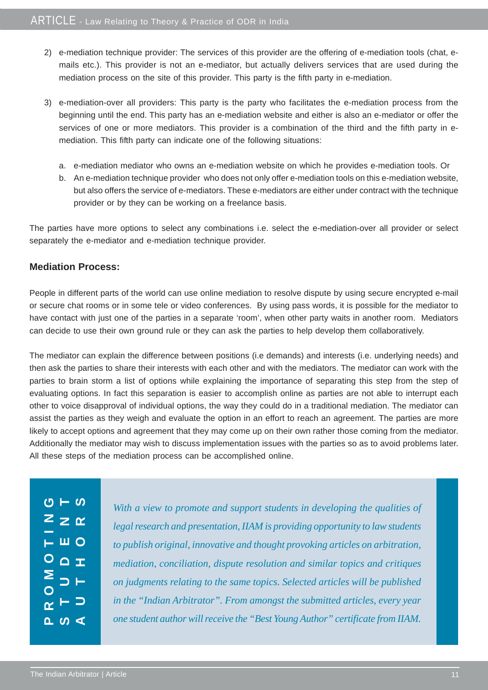- 2) e-mediation technique provider: The services of this provider are the offering of e-mediation tools (chat, emails etc.). This provider is not an e-mediator, but actually delivers services that are used during the mediation process on the site of this provider. This party is the fifth party in e-mediation.
- 3) e-mediation-over all providers: This party is the party who facilitates the e-mediation process from the beginning until the end. This party has an e-mediation website and either is also an e-mediator or offer the services of one or more mediators. This provider is a combination of the third and the fifth party in emediation. This fifth party can indicate one of the following situations:
	- a. e-mediation mediator who owns an e-mediation website on which he provides e-mediation tools. Or
	- b. An e-mediation technique provider who does not only offer e-mediation tools on this e-mediation website, but also offers the service of e-mediators. These e-mediators are either under contract with the technique provider or by they can be working on a freelance basis.

The parties have more options to select any combinations i.e. select the e-mediation-over all provider or select separately the e-mediator and e-mediation technique provider.

#### **Mediation Process:**

People in different parts of the world can use online mediation to resolve dispute by using secure encrypted e-mail or secure chat rooms or in some tele or video conferences. By using pass words, it is possible for the mediator to have contact with just one of the parties in a separate 'room', when other party waits in another room. Mediators can decide to use their own ground rule or they can ask the parties to help develop them collaboratively.

The mediator can explain the difference between positions (i.e demands) and interests (i.e. underlying needs) and then ask the parties to share their interests with each other and with the mediators. The mediator can work with the parties to brain storm a list of options while explaining the importance of separating this step from the step of evaluating options. In fact this separation is easier to accomplish online as parties are not able to interrupt each other to voice disapproval of individual options, the way they could do in a traditional mediation. The mediator can assist the parties as they weigh and evaluate the option in an effort to reach an agreement. The parties are more likely to accept options and agreement that they may come up on their own rather those coming from the mediator. Additionally the mediator may wish to discuss implementation issues with the parties so as to avoid problems later. All these steps of the mediation process can be accomplished online.

|                | $\frac{1}{C}$ – $\frac{1}{C}$                |  |
|----------------|----------------------------------------------|--|
|                | $Z$ $\geq$ $\alpha$                          |  |
|                | $\overline{F}$ W $\overline{O}$              |  |
|                | $\overline{O}$ $\overline{C}$ $\overline{I}$ |  |
| $\geq$         | BE                                           |  |
| $\overline{O}$ |                                              |  |
|                | $\alpha$ $\vdash$ $\supset$                  |  |
|                | $\frac{1}{2}$                                |  |

*With a view to promote and support students in developing the qualities of legal research and presentation, IIAM is providing opportunity to law students to publish original, innovative and thought provoking articles on arbitration, mediation, conciliation, dispute resolution and similar topics and critiques on judgments relating to the same topics. Selected articles will be published in the "Indian Arbitrator". From amongst the submitted articles, every year one student author will receive the "Best Young Author" certificate from IIAM.*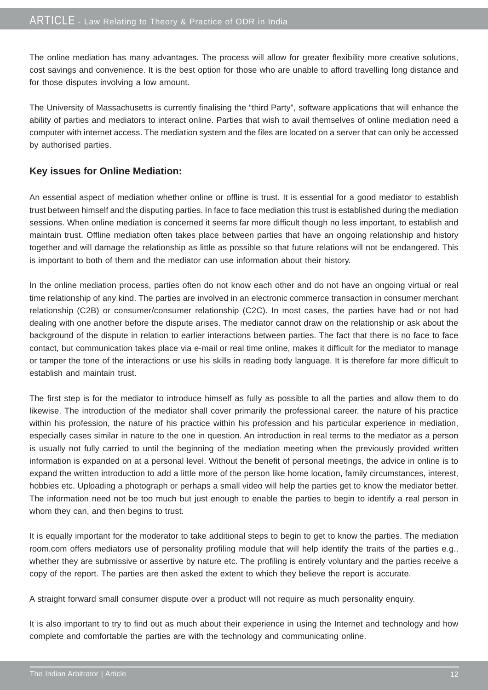The online mediation has many advantages. The process will allow for greater flexibility more creative solutions, cost savings and convenience. It is the best option for those who are unable to afford travelling long distance and for those disputes involving a low amount.

The University of Massachusetts is currently finalising the "third Party", software applications that will enhance the ability of parties and mediators to interact online. Parties that wish to avail themselves of online mediation need a computer with internet access. The mediation system and the files are located on a server that can only be accessed by authorised parties.

#### **Key issues for Online Mediation:**

An essential aspect of mediation whether online or offline is trust. It is essential for a good mediator to establish trust between himself and the disputing parties. In face to face mediation this trust is established during the mediation sessions. When online mediation is concerned it seems far more difficult though no less important, to establish and maintain trust. Offline mediation often takes place between parties that have an ongoing relationship and history together and will damage the relationship as little as possible so that future relations will not be endangered. This is important to both of them and the mediator can use information about their history.

In the online mediation process, parties often do not know each other and do not have an ongoing virtual or real time relationship of any kind. The parties are involved in an electronic commerce transaction in consumer merchant relationship (C2B) or consumer/consumer relationship (C2C). In most cases, the parties have had or not had dealing with one another before the dispute arises. The mediator cannot draw on the relationship or ask about the background of the dispute in relation to earlier interactions between parties. The fact that there is no face to face contact, but communication takes place via e-mail or real time online, makes it difficult for the mediator to manage or tamper the tone of the interactions or use his skills in reading body language. It is therefore far more difficult to establish and maintain trust.

The first step is for the mediator to introduce himself as fully as possible to all the parties and allow them to do likewise. The introduction of the mediator shall cover primarily the professional career, the nature of his practice within his profession, the nature of his practice within his profession and his particular experience in mediation, especially cases similar in nature to the one in question. An introduction in real terms to the mediator as a person is usually not fully carried to until the beginning of the mediation meeting when the previously provided written information is expanded on at a personal level. Without the benefit of personal meetings, the advice in online is to expand the written introduction to add a little more of the person like home location, family circumstances, interest, hobbies etc. Uploading a photograph or perhaps a small video will help the parties get to know the mediator better. The information need not be too much but just enough to enable the parties to begin to identify a real person in whom they can, and then begins to trust.

It is equally important for the moderator to take additional steps to begin to get to know the parties. The mediation room.com offers mediators use of personality profiling module that will help identify the traits of the parties e.g., whether they are submissive or assertive by nature etc. The profiling is entirely voluntary and the parties receive a copy of the report. The parties are then asked the extent to which they believe the report is accurate.

A straight forward small consumer dispute over a product will not require as much personality enquiry.

It is also important to try to find out as much about their experience in using the Internet and technology and how complete and comfortable the parties are with the technology and communicating online.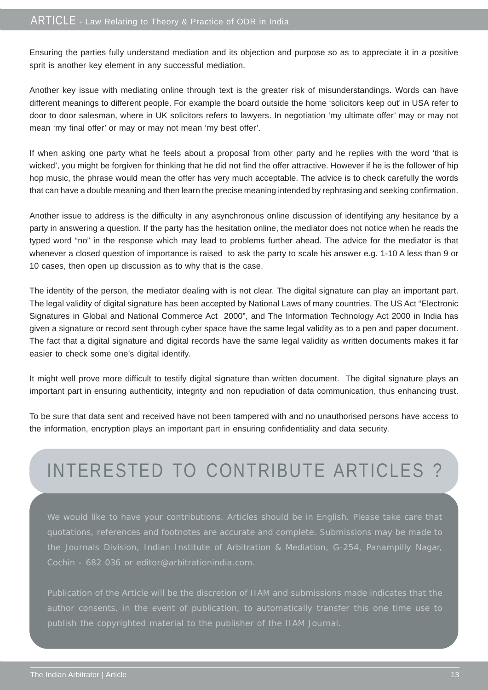Ensuring the parties fully understand mediation and its objection and purpose so as to appreciate it in a positive sprit is another key element in any successful mediation.

Another key issue with mediating online through text is the greater risk of misunderstandings. Words can have different meanings to different people. For example the board outside the home 'solicitors keep out' in USA refer to door to door salesman, where in UK solicitors refers to lawyers. In negotiation 'my ultimate offer' may or may not mean 'my final offer' or may or may not mean 'my best offer'.

If when asking one party what he feels about a proposal from other party and he replies with the word 'that is wicked', you might be forgiven for thinking that he did not find the offer attractive. However if he is the follower of hip hop music, the phrase would mean the offer has very much acceptable. The advice is to check carefully the words that can have a double meaning and then learn the precise meaning intended by rephrasing and seeking confirmation.

Another issue to address is the difficulty in any asynchronous online discussion of identifying any hesitance by a party in answering a question. If the party has the hesitation online, the mediator does not notice when he reads the typed word "no" in the response which may lead to problems further ahead. The advice for the mediator is that whenever a closed question of importance is raised to ask the party to scale his answer e.g. 1-10 A less than 9 or 10 cases, then open up discussion as to why that is the case.

The identity of the person, the mediator dealing with is not clear. The digital signature can play an important part. The legal validity of digital signature has been accepted by National Laws of many countries. The US Act "Electronic Signatures in Global and National Commerce Act 2000", and The Information Technology Act 2000 in India has given a signature or record sent through cyber space have the same legal validity as to a pen and paper document. The fact that a digital signature and digital records have the same legal validity as written documents makes it far easier to check some one's digital identify.

It might well prove more difficult to testify digital signature than written document. The digital signature plays an important part in ensuring authenticity, integrity and non repudiation of data communication, thus enhancing trust.

To be sure that data sent and received have not been tampered with and no unauthorised persons have access to the information, encryption plays an important part in ensuring confidentiality and data security.

# INTERESTED TO CONTRIBUTE ARTICLES ?

We would like to have your contributions. Articles should be in English. Please take care that quotations, references and footnotes are accurate and complete. Submissions may be made to the Journals Division, Indian Institute of Arbitration & Mediation, G-254, Panampilly Nagar, Cochin - 682 036 or editor@arbitrationindia.com.

Publication of the Article will be the discretion of IIAM and submissions made indicates that the publish the copyrighted material to the publisher of the IIAM Journal.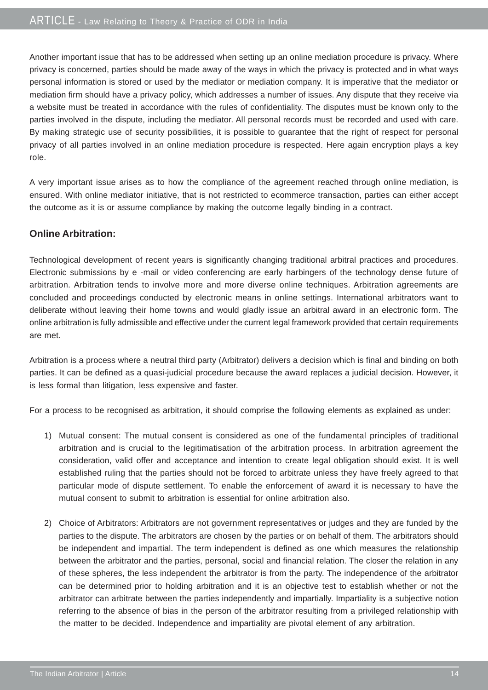Another important issue that has to be addressed when setting up an online mediation procedure is privacy. Where privacy is concerned, parties should be made away of the ways in which the privacy is protected and in what ways personal information is stored or used by the mediator or mediation company. It is imperative that the mediator or mediation firm should have a privacy policy, which addresses a number of issues. Any dispute that they receive via a website must be treated in accordance with the rules of confidentiality. The disputes must be known only to the parties involved in the dispute, including the mediator. All personal records must be recorded and used with care. By making strategic use of security possibilities, it is possible to guarantee that the right of respect for personal privacy of all parties involved in an online mediation procedure is respected. Here again encryption plays a key role.

A very important issue arises as to how the compliance of the agreement reached through online mediation, is ensured. With online mediator initiative, that is not restricted to ecommerce transaction, parties can either accept the outcome as it is or assume compliance by making the outcome legally binding in a contract.

#### **Online Arbitration:**

Technological development of recent years is significantly changing traditional arbitral practices and procedures. Electronic submissions by e -mail or video conferencing are early harbingers of the technology dense future of arbitration. Arbitration tends to involve more and more diverse online techniques. Arbitration agreements are concluded and proceedings conducted by electronic means in online settings. International arbitrators want to deliberate without leaving their home towns and would gladly issue an arbitral award in an electronic form. The online arbitration is fully admissible and effective under the current legal framework provided that certain requirements are met.

Arbitration is a process where a neutral third party (Arbitrator) delivers a decision which is final and binding on both parties. It can be defined as a quasi-judicial procedure because the award replaces a judicial decision. However, it is less formal than litigation, less expensive and faster.

For a process to be recognised as arbitration, it should comprise the following elements as explained as under:

- 1) Mutual consent: The mutual consent is considered as one of the fundamental principles of traditional arbitration and is crucial to the legitimatisation of the arbitration process. In arbitration agreement the consideration, valid offer and acceptance and intention to create legal obligation should exist. It is well established ruling that the parties should not be forced to arbitrate unless they have freely agreed to that particular mode of dispute settlement. To enable the enforcement of award it is necessary to have the mutual consent to submit to arbitration is essential for online arbitration also.
- 2) Choice of Arbitrators: Arbitrators are not government representatives or judges and they are funded by the parties to the dispute. The arbitrators are chosen by the parties or on behalf of them. The arbitrators should be independent and impartial. The term independent is defined as one which measures the relationship between the arbitrator and the parties, personal, social and financial relation. The closer the relation in any of these spheres, the less independent the arbitrator is from the party. The independence of the arbitrator can be determined prior to holding arbitration and it is an objective test to establish whether or not the arbitrator can arbitrate between the parties independently and impartially. Impartiality is a subjective notion referring to the absence of bias in the person of the arbitrator resulting from a privileged relationship with the matter to be decided. Independence and impartiality are pivotal element of any arbitration.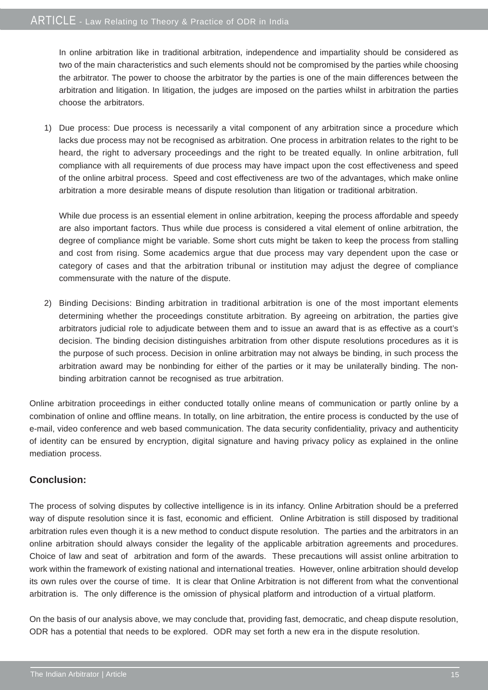In online arbitration like in traditional arbitration, independence and impartiality should be considered as two of the main characteristics and such elements should not be compromised by the parties while choosing the arbitrator. The power to choose the arbitrator by the parties is one of the main differences between the arbitration and litigation. In litigation, the judges are imposed on the parties whilst in arbitration the parties choose the arbitrators.

1) Due process: Due process is necessarily a vital component of any arbitration since a procedure which lacks due process may not be recognised as arbitration. One process in arbitration relates to the right to be heard, the right to adversary proceedings and the right to be treated equally. In online arbitration, full compliance with all requirements of due process may have impact upon the cost effectiveness and speed of the online arbitral process. Speed and cost effectiveness are two of the advantages, which make online arbitration a more desirable means of dispute resolution than litigation or traditional arbitration.

While due process is an essential element in online arbitration, keeping the process affordable and speedy are also important factors. Thus while due process is considered a vital element of online arbitration, the degree of compliance might be variable. Some short cuts might be taken to keep the process from stalling and cost from rising. Some academics argue that due process may vary dependent upon the case or category of cases and that the arbitration tribunal or institution may adjust the degree of compliance commensurate with the nature of the dispute.

2) Binding Decisions: Binding arbitration in traditional arbitration is one of the most important elements determining whether the proceedings constitute arbitration. By agreeing on arbitration, the parties give arbitrators judicial role to adjudicate between them and to issue an award that is as effective as a court's decision. The binding decision distinguishes arbitration from other dispute resolutions procedures as it is the purpose of such process. Decision in online arbitration may not always be binding, in such process the arbitration award may be nonbinding for either of the parties or it may be unilaterally binding. The nonbinding arbitration cannot be recognised as true arbitration.

Online arbitration proceedings in either conducted totally online means of communication or partly online by a combination of online and offline means. In totally, on line arbitration, the entire process is conducted by the use of e-mail, video conference and web based communication. The data security confidentiality, privacy and authenticity of identity can be ensured by encryption, digital signature and having privacy policy as explained in the online mediation process.

#### **Conclusion:**

The process of solving disputes by collective intelligence is in its infancy. Online Arbitration should be a preferred way of dispute resolution since it is fast, economic and efficient. Online Arbitration is still disposed by traditional arbitration rules even though it is a new method to conduct dispute resolution. The parties and the arbitrators in an online arbitration should always consider the legality of the applicable arbitration agreements and procedures. Choice of law and seat of arbitration and form of the awards. These precautions will assist online arbitration to work within the framework of existing national and international treaties. However, online arbitration should develop its own rules over the course of time. It is clear that Online Arbitration is not different from what the conventional arbitration is. The only difference is the omission of physical platform and introduction of a virtual platform.

On the basis of our analysis above, we may conclude that, providing fast, democratic, and cheap dispute resolution, ODR has a potential that needs to be explored. ODR may set forth a new era in the dispute resolution.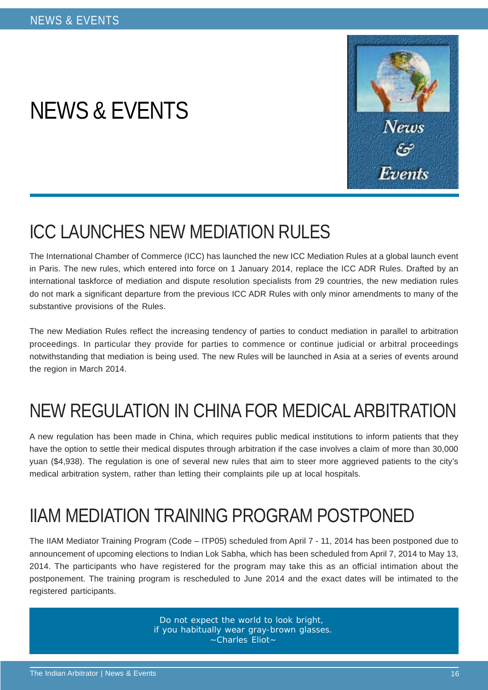# NEWS & EVENTS



## ICC LAUNCHES NEW MEDIATION RULES

The International Chamber of Commerce (ICC) has launched the new ICC Mediation Rules at a global launch event in Paris. The new rules, which entered into force on 1 January 2014, replace the ICC ADR Rules. Drafted by an international taskforce of mediation and dispute resolution specialists from 29 countries, the new mediation rules do not mark a significant departure from the previous ICC ADR Rules with only minor amendments to many of the substantive provisions of the Rules.

The new Mediation Rules reflect the increasing tendency of parties to conduct mediation in parallel to arbitration proceedings. In particular they provide for parties to commence or continue judicial or arbitral proceedings notwithstanding that mediation is being used. The new Rules will be launched in Asia at a series of events around the region in March 2014.

## NEW REGULATION IN CHINA FOR MEDICAL ARBITRATION

A new regulation has been made in China, which requires public medical institutions to inform patients that they have the option to settle their medical disputes through arbitration if the case involves a claim of more than 30,000 yuan (\$4,938). The regulation is one of several new rules that aim to steer more aggrieved patients to the city's medical arbitration system, rather than letting their complaints pile up at local hospitals.

# IIAM MEDIATION TRAINING PROGRAM POSTPONED

The IIAM Mediator Training Program (Code – ITP05) scheduled from April 7 - 11, 2014 has been postponed due to announcement of upcoming elections to Indian Lok Sabha, which has been scheduled from April 7, 2014 to May 13, 2014. The participants who have registered for the program may take this as an official intimation about the postponement. The training program is rescheduled to June 2014 and the exact dates will be intimated to the registered participants.

> Do not expect the world to look bright, if you habitually wear gray-brown glasses. ~Charles Eliot~